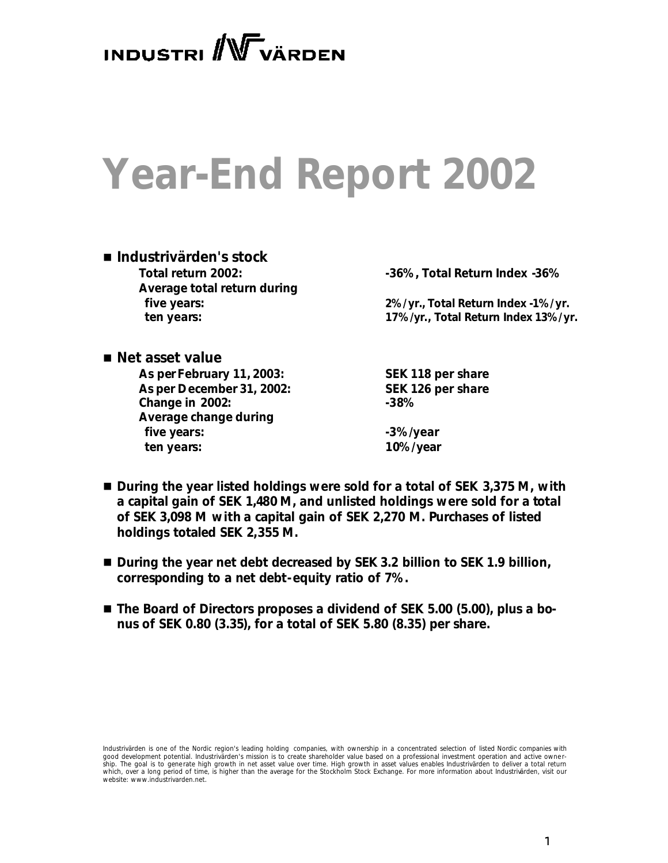INDUSTRI WVÄRDEN

# **Year-End Report 2002**

## n *Industrivärden's stock* **Average total return during**

**Total return 2002: -36%, Total Return Index -36%**

 **five years: 2%/yr., Total Return Index -1%/yr. ten years: 17%/yr., Total Return Index 13%/yr.**

■ *Net asset value* **As per February 11, 2003: SEK 118 per share As per December 31, 2002: SEK 126 per share Change in 2002: -38% Average change during** five years:  $-3\%$ /year  **ten years: 10%/year**

- During the year listed holdings were sold for a total of SEK 3,375 M, with *a capital gain of SEK 1,480 M, and unlisted holdings were sold for a total of SEK 3,098 M with a capital gain of SEK 2,270 M. Purchases of listed holdings totaled SEK 2,355 M.*
- *During the year net debt decreased by SEK 3.2 billion to SEK 1.9 billion, corresponding to a net debt-equity ratio of 7%.*
- The Board of Directors proposes a dividend of SEK 5.00 (5.00), plus a bo*nus of SEK 0.80 (3.35), for a total of SEK 5.80 (8.35) per share.*

*Industrivärden is one of the Nordic region's leading holding companies, with ownership in a concentrated selection of listed Nordic companies with*  good development potential. Industrivarden's mission is to create shareholder value based on a professional investment operation and active ownership. The goal is to generate high growth in net asset value over time. High growth in asset values enables Industrivärden to deliver a total return<br>which, over a long period of time, is higher than the average for the Sto *website: www.industrivarden.net.*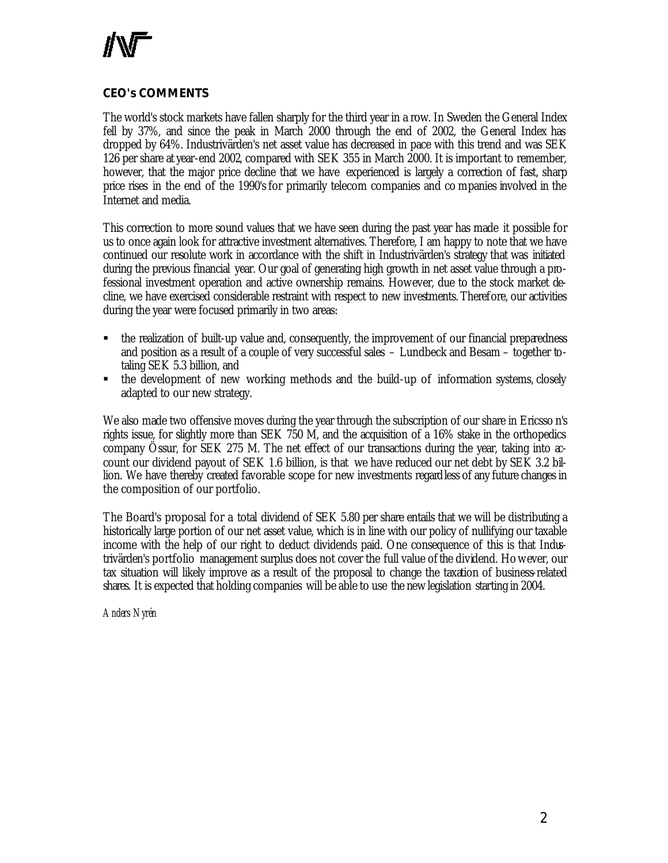

#### **CEO's COMMENTS**

The world's stock markets have fallen sharply for the third year in a row. In Sweden the General Index fell by 37%, and since the peak in March 2000 through the end of 2002, the General Index has dropped by 64%. Industrivärden's net asset value has decreased in pace with this trend and was SEK 126 per share at year-end 2002, compared with SEK 355 in March 2000. It is important to remember, however, that the major price decline that we have experienced is largely a correction of fast, sharp price rises in the end of the 1990's for primarily telecom companies and co mpanies involved in the Internet and media.

This correction to more sound values that we have seen during the past year has made it possible for us to once again look for attractive investment alternatives. Therefore, I am happy to note that we have continued our resolute work in accordance with the shift in Industrivärden's strategy that was initiated during the previous financial year. Our goal of generating high growth in net asset value through a professional investment operation and active ownership remains. However, due to the stock market decline, we have exercised considerable restraint with respect to new investments. Therefore, our activities during the year were focused primarily in two areas:

- the realization of built-up value and, consequently, the improvement of our financial preparedness and position as a result of a couple of very successful sales – Lundbeck and Besam – together totaling SEK 5.3 billion, and
- ß the development of new working methods and the build-up of information systems, closely adapted to our new strategy.

We also made two offensive moves during the year through the subscription of our share in Ericsso n's rights issue, for slightly more than SEK 750 M, and the acquisition of a 16% stake in the orthopedics company Össur, for SEK 275 M. The net effect of our transactions during the year, taking into account our dividend payout of SEK 1.6 billion, is that we have reduced our net debt by SEK 3.2 billion. We have thereby created favorable scope for new investments regardless of any future changes in the composition of our portfolio.

The Board's proposal for a total dividend of SEK 5.80 per share entails that we will be distributing a historically large portion of our net asset value, which is in line with our policy of nullifying our taxable income with the help of our right to deduct dividends paid. One consequence of this is that Industrivärden's portfolio management surplus does not cover the full value ofthe dividend. However, our tax situation will likely improve as a result of the proposal to change the taxation of business-related shares. It is expected that holding companies will be able to use the new legislation starting in 2004.

*Anders Nyrén*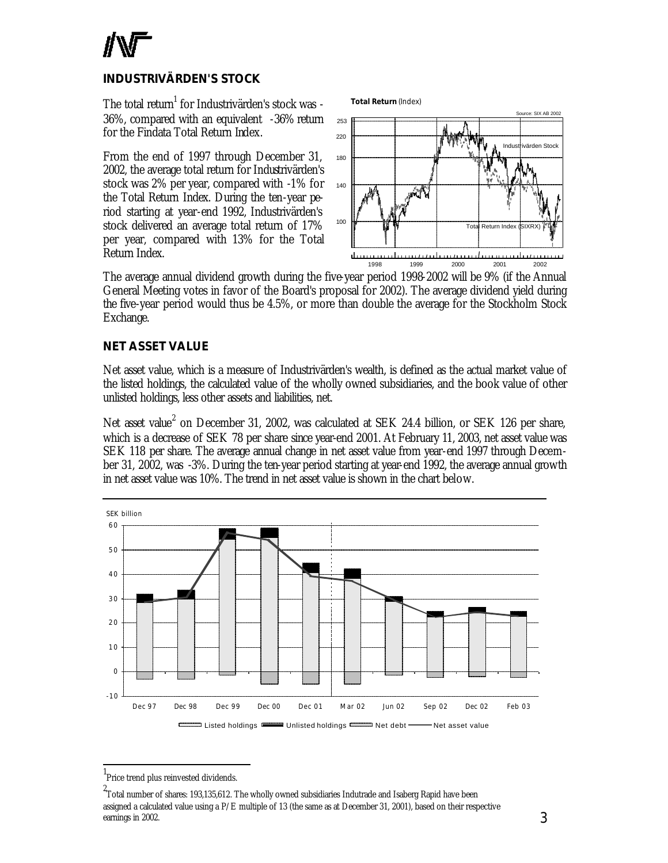

#### **INDUSTRIVÄRDEN'S STOCK**

The total return $^{\rm 1}$  for Industrivärden's stock was -36%, compared with an equivalent -36% return for the Findata Total Return Index.

From the end of 1997 through December 31, 2002, the average total return for Industrivärden's stock was 2% per year, compared with -1% for the Total Return Index. During the ten-year period starting at year-end 1992, Industrivärden's stock delivered an average total return of 17% per year, compared with 13% for the Total Return Index.



The average annual dividend growth during the five-year period 1998-2002 will be 9% (if the Annual General Meeting votes in favor of the Board's proposal for 2002). The average dividend yield during the five-year period would thus be 4.5%, or more than double the average for the Stockholm Stock Exchange.

#### **NET ASSET VALUE**

Net asset value, which is a measure of Industrivärden's wealth, is defined as the actual market value of the listed holdings, the calculated value of the wholly owned subsidiaries, and the book value of other unlisted holdings, less other assets and liabilities, net.

Net asset value<sup>2</sup> on December 31, 2002, was calculated at SEK 24.4 billion, or SEK 126 per share, which is a decrease of SEK 78 per share since year-end 2001. At February 11, 2003, net asset value was SEK 118 per share. The average annual change in net asset value from year-end 1997 through December 31, 2002, was -3%. During the ten-year period starting at year-end 1992, the average annual growth in net asset value was 10%. The trend in net asset value is shown in the chart below.



<sup>1</sup> Price trend plus reinvested dividends.

l

<sup>2&</sup>lt;br>"Total number of shares: 193,135,612. The wholly owned subsidiaries Indutrade and Isaberg Rapid have been assigned a calculated value using a P/E multiple of 13 (the same as at December 31, 2001), based on their respective earnings in 2002.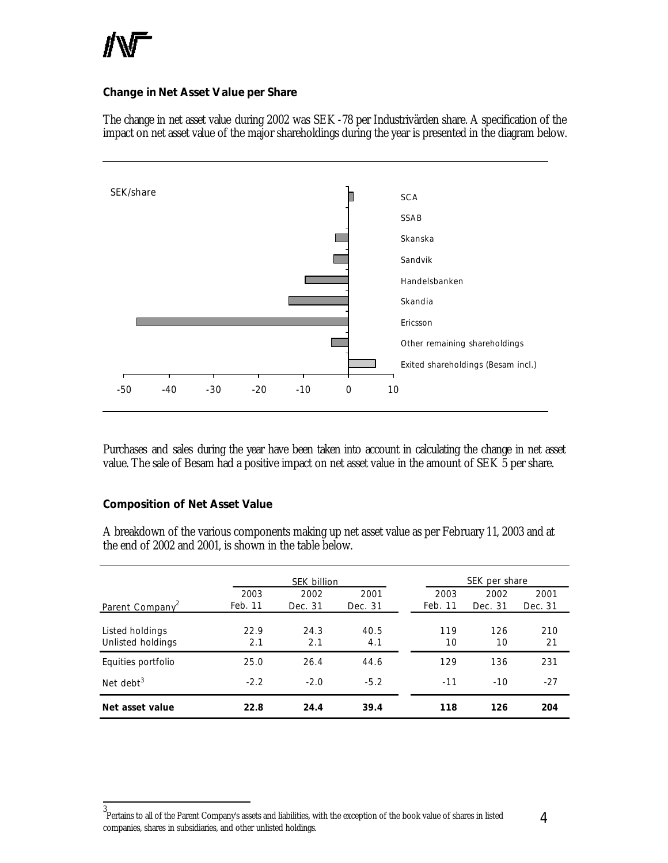

#### **Change in Net Asset Value per Share**

The change in net asset value during 2002 was SEK -78 per Industrivärden share. A specification of the impact on net asset value of the major shareholdings during the year is presented in the diagram below.



Purchases and sales during the year have been taken into account in calculating the change in net asset value. The sale of Besam had a positive impact on net asset value in the amount of SEK 5 per share.

#### **Composition of Net Asset Value**

A breakdown of the various components making up net asset value as per February 11, 2003 and at the end of 2002 and 2001, is shown in the table below.

|                                      | SEK billion     |             |             |                 | SEK per share |           |  |
|--------------------------------------|-----------------|-------------|-------------|-----------------|---------------|-----------|--|
|                                      | 2003<br>Feb. 11 | 2002        | 2001        | 2003<br>Feb. 11 | 2002          | 2001      |  |
| Parent Company <sup>2</sup>          |                 | Dec. 31     | Dec. 31     |                 | Dec. 31       | Dec. 31   |  |
| Listed holdings<br>Unlisted holdings | 22.9<br>2.1     | 24.3<br>2.1 | 40.5<br>4.1 | 119<br>10       | 126<br>10     | 210<br>21 |  |
| Equities portfolio                   | 25.0            | 26.4        | 44.6        | 129             | 136           | 231       |  |
| Net debt <sup>3</sup>                | $-2.2$          | $-2.0$      | $-5.2$      | $-11$           | $-10$         | $-27$     |  |
| Net asset value                      | 22.8            | 24.4        | 39.4        | 118             | 126           | 204       |  |

 3 Pertains to all of the Parent Company's assets and liabilities, with the exception of the book value of shares in listed companies, shares in subsidiaries, and other unlisted holdings.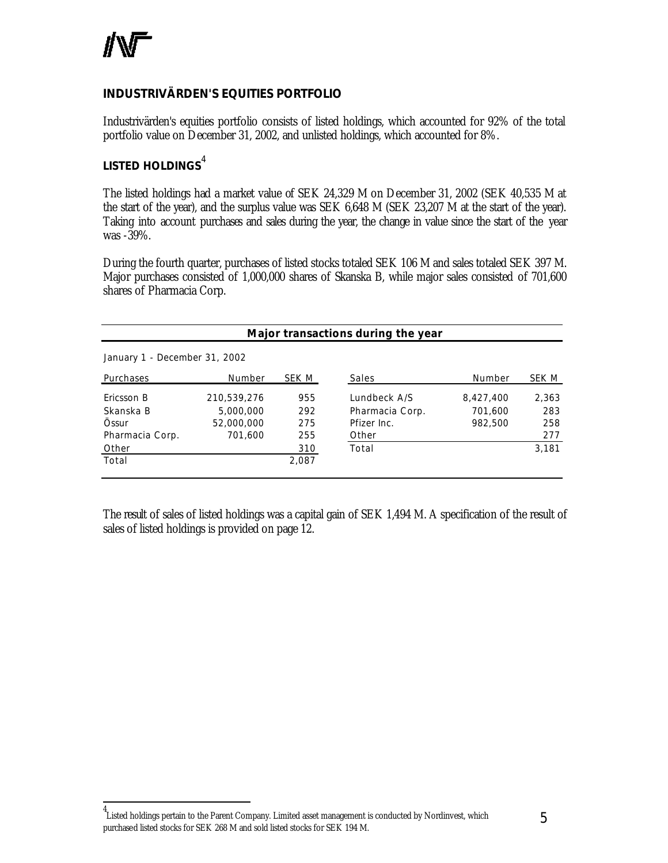

l

#### **INDUSTRIVÄRDEN'S EQUITIES PORTFOLIO**

Industrivärden's equities portfolio consists of listed holdings, which accounted for 92% of the total portfolio value on December 31, 2002, and unlisted holdings, which accounted for 8%.

#### *LISTED HOLDINGS*<sup>4</sup>

The listed holdings had a market value of SEK 24,329 M on December 31, 2002 (SEK 40,535 M at the start of the year), and the surplus value was SEK 6,648 M (SEK 23,207 M at the start of the year). Taking into account purchases and sales during the year, the change in value since the start of the year was -39%.

During the fourth quarter, purchases of listed stocks totaled SEK 106 M and sales totaled SEK 397 M. Major purchases consisted of 1,000,000 shares of Skanska B, while major sales consisted of 701,600 shares of Pharmacia Corp.

| Major transactions during the year |             |       |                 |           |       |  |  |
|------------------------------------|-------------|-------|-----------------|-----------|-------|--|--|
| January 1 - December 31, 2002      |             |       |                 |           |       |  |  |
| Purchases                          | Number      | SEK M | Sales           | Number    | SEK M |  |  |
| Ericsson B                         | 210,539,276 | 955   | Lundbeck A/S    | 8,427,400 | 2,363 |  |  |
| Skanska B                          | 5,000,000   | 292   | Pharmacia Corp. | 701.600   | 283   |  |  |
| Össur                              | 52,000,000  | 275   | Pfizer Inc.     | 982.500   | 258   |  |  |
| Pharmacia Corp.                    | 701,600     | 255   | Other           |           | 277   |  |  |
| Other                              |             | 310   | Total           |           | 3,181 |  |  |
| Total                              |             | 2,087 |                 |           |       |  |  |

The result of sales of listed holdings was a capital gain of SEK 1,494 M. A specification of the result of sales of listed holdings is provided on page 12.

<sup>4</sup> Listed holdings pertain to the Parent Company. Limited asset management is conducted by Nordinvest, which purchased listed stocks for SEK 268 M and sold listed stocks for SEK 194 M.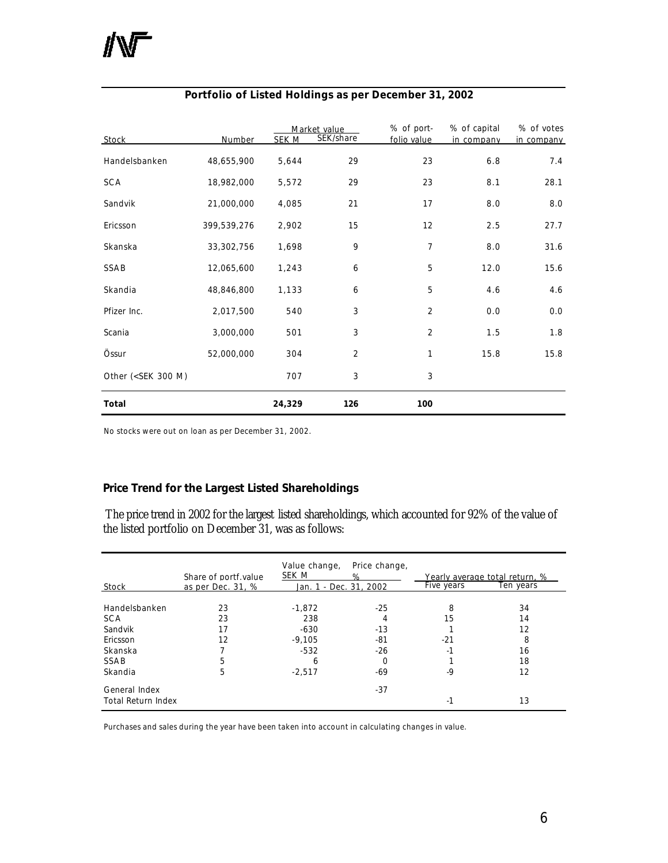| Stock                                                                                              | Number      | <b>SEK M</b> | Market value<br>SEK/share | % of port-<br>folio value | % of capital<br>in company | % of votes<br>in company |
|----------------------------------------------------------------------------------------------------|-------------|--------------|---------------------------|---------------------------|----------------------------|--------------------------|
| Handelsbanken                                                                                      | 48,655,900  | 5,644        | 29                        | 23                        | 6.8                        | 7.4                      |
| <b>SCA</b>                                                                                         | 18,982,000  | 5,572        | 29                        | 23                        | 8.1                        | 28.1                     |
| Sandvik                                                                                            | 21,000,000  | 4,085        | 21                        | 17                        | 8.0                        | 8.0                      |
| Ericsson                                                                                           | 399,539,276 | 2,902        | 15                        | 12                        | 2.5                        | 27.7                     |
| Skanska                                                                                            | 33,302,756  | 1,698        | 9                         | 7                         | 8.0                        | 31.6                     |
| SSAB                                                                                               | 12,065,600  | 1,243        | 6                         | 5                         | 12.0                       | 15.6                     |
| Skandia                                                                                            | 48,846,800  | 1,133        | 6                         | 5                         | 4.6                        | 4.6                      |
| Pfizer Inc.                                                                                        | 2,017,500   | 540          | 3                         | $\overline{2}$            | 0.0                        | 0.0                      |
| Scania                                                                                             | 3,000,000   | 501          | 3                         | $\overline{2}$            | 1.5                        | 1.8                      |
| Össur                                                                                              | 52,000,000  | 304          | 2                         | 1                         | 15.8                       | 15.8                     |
| Other ( <sek 300="" m)<="" td=""><td></td><td>707</td><td>3</td><td>3</td><td></td><td></td></sek> |             | 707          | 3                         | 3                         |                            |                          |
| Total                                                                                              |             | 24,329       | 126                       | 100                       |                            |                          |

#### **Portfolio of Listed Holdings as per December 31, 2002**

No stocks were out on loan as per December 31, 2002.

#### **Price Trend for the Largest Listed Shareholdings**

The price trend in 2002 for the largest listed shareholdings, which accounted for 92% of the value of the listed portfolio on December 31, was as follows:

|                    | Share of portf value | Value change,<br>SEK M | Price change,<br>℅ | Five years | Yearly average total return, %<br>Ten years |
|--------------------|----------------------|------------------------|--------------------|------------|---------------------------------------------|
| Stock              | as per Dec. 31, %    | Jan. 1 - Dec. 31, 2002 |                    |            |                                             |
| Handelsbanken      | 23                   | $-1,872$               | $-25$              | 8          | 34                                          |
| <b>SCA</b>         | 23                   | 238                    | 4                  | 15         | 14                                          |
| Sandvik            | 17                   | $-630$                 | $-13$              |            | 12                                          |
| Ericsson           | 12                   | $-9,105$               | -81                | $-21$      | 8                                           |
| Skanska            |                      | $-532$                 | $-26$              | -1         | 16                                          |
| SSAB               | 5                    | 6                      | $\Omega$           |            | 18                                          |
| Skandia            | 5                    | $-2,517$               | -69                | $-9$       | 12                                          |
| General Index      |                      |                        | $-37$              |            |                                             |
| Total Return Index |                      |                        |                    | $-1$       | 13                                          |

Purchases and sales during the year have been taken into account in calculating changes in value.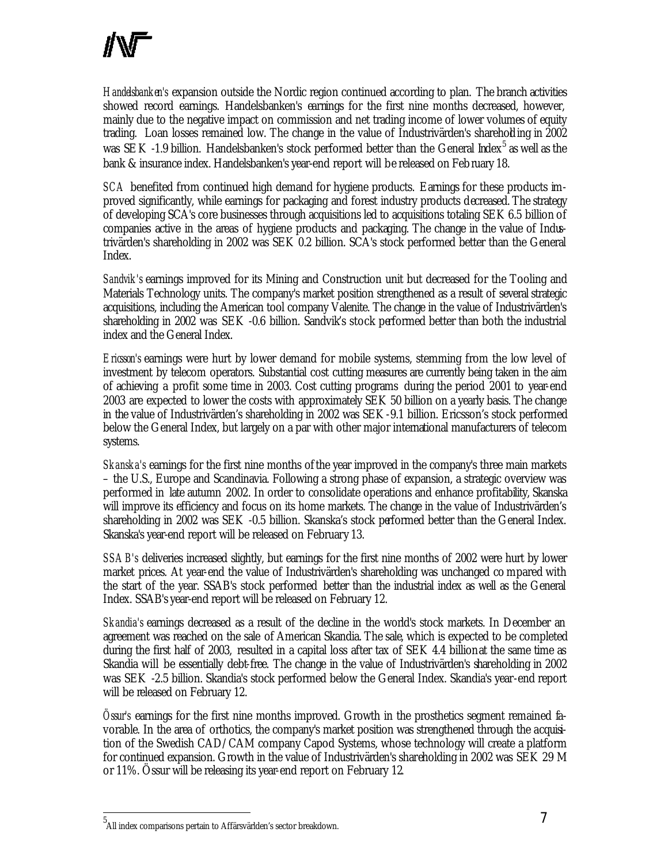*Handelsbanken's* expansion outside the Nordic region continued according to plan. The branch activities showed record earnings. Handelsbanken's earnings for the first nine months decreased, however, mainly due to the negative impact on commission and net trading income of lower volumes of equity trading. Loan losses remained low. The change in the value of Industrivärden's shareholding in 2002 was SEK -1.9 billion. Handelsbanken's stock performed better than the General Index<sup>5</sup> as well as the bank & insurance index. Handelsbanken's year-end report will be released on February 18.

*SCA* benefited from continued high demand for hygiene products. Earnings for these products improved significantly, while earnings for packaging and forest industry products decreased. The strategy of developing SCA's core businesses through acquisitions led to acquisitions totaling SEK 6.5 billion of companies active in the areas of hygiene products and packaging. The change in the value of Industrivärden's shareholding in 2002 was SEK 0.2 billion. SCA's stock performed better than the General Index.

*Sandvik's* earnings improved for its Mining and Construction unit but decreased for the Tooling and Materials Technology units. The company's market position strengthened as a result of several strategic acquisitions, including the American tool company Valenite. The change in the value of Industrivärden's shareholding in 2002 was SEK -0.6 billion. Sandvik's stock performed better than both the industrial index and the General Index.

*Ericsson's* earnings were hurt by lower demand for mobile systems, stemming from the low level of investment by telecom operators. Substantial cost cutting measures are currently being taken in the aim of achieving a profit some time in 2003. Cost cutting programs during the period 2001 to year-end 2003 are expected to lower the costs with approximately SEK 50 billion on a yearly basis. The change in the value of Industrivärden's shareholding in 2002 was SEK -9.1 billion. Ericsson's stock performed below the General Index, but largely on a par with other major international manufacturers of telecom systems.

*Skanska's* earnings for the first nine months of the year improved in the company's three main markets – the U.S., Europe and Scandinavia. Following a strong phase of expansion, a strategic overview was performed in late autumn 2002. In order to consolidate operations and enhance profitability, Skanska will improve its efficiency and focus on its home markets. The change in the value of Industrivärden's shareholding in 2002 was SEK -0.5 billion. Skanska's stock performed better than the General Index. Skanska's year-end report will be released on February 13.

*SSAB's* deliveries increased slightly, but earnings for the first nine months of 2002 were hurt by lower market prices. At year-end the value of Industrivärden's shareholding was unchanged co mpared with the start of the year. SSAB's stock performed better than the industrial index as well as the General Index. SSAB's year-end report will be released on February 12.

*Skandia's* earnings decreased as a result of the decline in the world's stock markets. In December an agreement was reached on the sale of American Skandia. The sale, which is expected to be completed during the first half of 2003, resulted in a capital loss after tax of SEK 4.4 billion at the same time as Skandia will be essentially debt-free. The change in the value of Industrivärden's shareholding in 2002 was SEK -2.5 billion. Skandia's stock performed below the General Index. Skandia's year-end report will be released on February 12.

*Össur's* earnings for the first nine months improved. Growth in the prosthetics segment remained favorable. In the area of orthotics, the company's market position was strengthened through the acquisition of the Swedish CAD/CAM company Capod Systems, whose technology will create a platform for continued expansion. Growth in the value of Industrivärden's shareholding in 2002 was SEK 29 M or 11%. Össur will be releasing its year-end report on February 12*.* 

l

<sup>5</sup> All index comparisons pertain to Affärsvärlden's sector breakdown.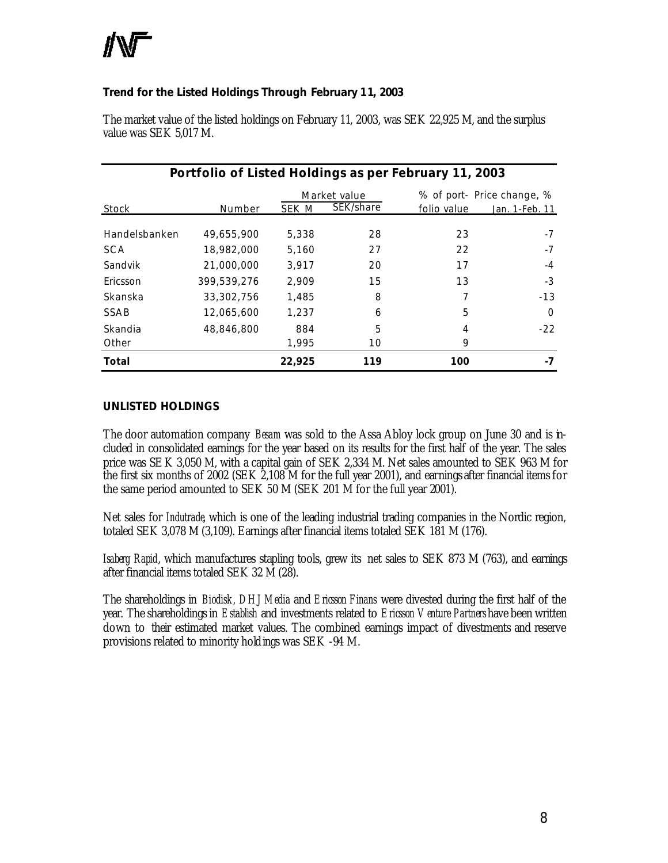

#### **Trend for the Listed Holdings Through February 11, 2003**

| Portfolio of Listed Holdings as per February 11, 2003 |             |        |              |             |                            |  |
|-------------------------------------------------------|-------------|--------|--------------|-------------|----------------------------|--|
|                                                       |             |        | Market value |             | % of port- Price change, % |  |
| Stock                                                 | Number      | SEK M  | SEK/share    | folio value | Jan. 1-Feb. 11             |  |
| Handelsbanken                                         | 49,655,900  | 5,338  | 28           | 23          | $-7$                       |  |
| <b>SCA</b>                                            | 18,982,000  | 5.160  | 27           | 22          | $-7$                       |  |
| Sandvik                                               | 21,000,000  | 3.917  | 20           | 17          | $-4$                       |  |
| Ericsson                                              | 399.539.276 | 2.909  | 15           | 13          | $-3$                       |  |
| Skanska                                               | 33,302,756  | 1,485  | 8            |             | $-13$                      |  |
| SSAB                                                  | 12,065,600  | 1,237  | 6            | 5           | $\Omega$                   |  |
| Skandia                                               | 48,846,800  | 884    | 5            | 4           | $-22$                      |  |
| Other                                                 |             | 1,995  | 10           | 9           |                            |  |
| Total                                                 |             | 22,925 | 119          | 100         |                            |  |

The market value of the listed holdings on February 11, 2003, was SEK 22,925 M, and the surplus value was SEK 5,017 M.

#### *UNLISTED HOLDINGS*

The door automation company *Besam* was sold to the Assa Abloy lock group on June 30 and is included in consolidated earnings for the year based on its results for the first half of the year. The sales price was SEK 3,050 M, with a capital gain of SEK 2,334 M. Net sales amounted to SEK 963 M for the first six months of 2002 (SEK 2,108 M for the full year 2001), and earnings after financial items for the same period amounted to SEK 50 M (SEK 201 M for the full year 2001).

Net sales for *Indutrade*, which is one of the leading industrial trading companies in the Nordic region, totaled SEK 3,078 M (3,109). Earnings after financial items totaled SEK 181 M (176).

*Isaberg Rapid*, which manufactures stapling tools, grew its net sales to SEK 873 M (763), and earnings after financial items totaled SEK 32 M (28).

The shareholdings in *Biodisk, DHJ Media* and *Ericsson Finans* were divested during the first half of the year. The shareholdings in *Establish* and investments related to *Ericsson Venture Partners*have been written down to their estimated market values. The combined earnings impact of divestments and reserve provisions related to minority holdings was SEK -94 M.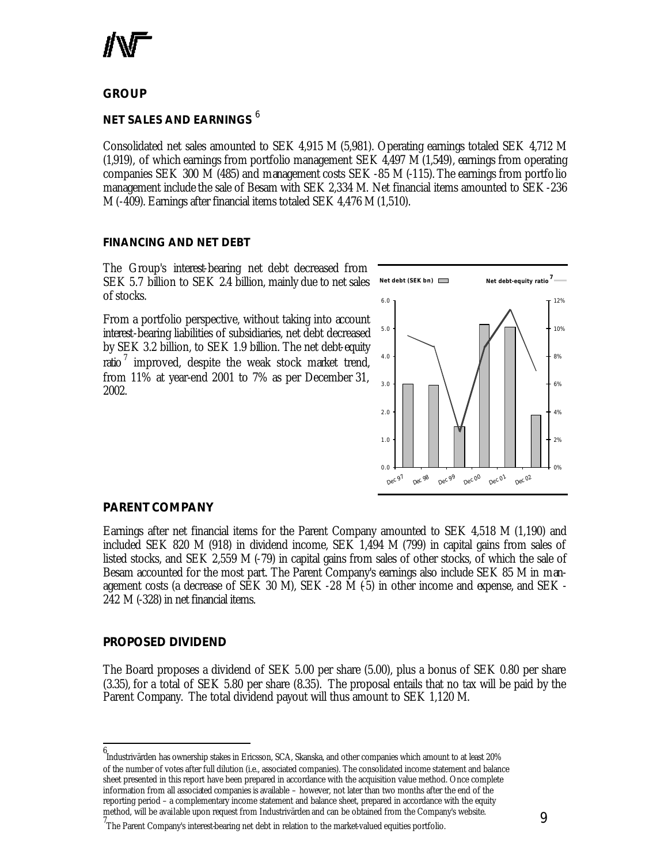

**GROUP**

#### *NET SALES AND EARNINGS* <sup>6</sup>

Consolidated net sales amounted to SEK 4,915 M (5,981). Operating earnings totaled SEK 4,712 M (1,919), of which earnings from portfolio management SEK 4,497 M (1,549), earnings from operating companies SEK 300 M (485) and management costs SEK -85 M (-115). The earnings from portfolio management include the sale of Besam with SEK 2,334 M. Net financial items amounted to SEK -236 M (-409). Earnings after financial items totaled SEK 4,476 M (1,510).

#### *FINANCING AND NET DEBT*

The Group's interest-bearing net debt decreased from SEK 5.7 billion to SEK 2.4 billion, mainly due to net sales of stocks.

From a portfolio perspective, without taking into account interest-bearing liabilities of subsidiaries, net debt decreased by SEK 3.2 billion, to SEK 1.9 billion. The net debt-equity ratio<sup>7</sup> improved, despite the weak stock market trend, from 11% at year-end 2001 to 7% as per December 31, 2002.



#### **PARENT COMPANY**

Earnings after net financial items for the Parent Company amounted to SEK 4,518 M (1,190) and included SEK 820 M (918) in dividend income, SEK 1,494 M (799) in capital gains from sales of listed stocks, and SEK 2,559 M (-79) in capital gains from sales of other stocks, of which the sale of Besam accounted for the most part. The Parent Company's earnings also include SEK 85 M in management costs (a decrease of SEK 30 M), SEK -28 M (-5) in other income and expense, and SEK -242 M (-328) in net financial items.

#### **PROPOSED DIVIDEND**

l

The Board proposes a dividend of SEK 5.00 per share (5.00), plus a bonus of SEK 0.80 per share (3.35), for a total of SEK 5.80 per share (8.35). The proposal entails that no tax will be paid by the Parent Company. The total dividend payout will thus amount to SEK 1,120 M.

<sup>6</sup> Industrivärden has ownership stakes in Ericsson, SCA, Skanska, and other companies which amount to at least 20% of the number of votes after full dilution (i.e., associated companies). The consolidated income statement and balance sheet presented in this report have been prepared in accordance with the acquisition value method. Once complete information from all associated companies is available – however, not later than two months after the end of the reporting period – a complementary income statement and balance sheet, prepared in accordance with the equity method, will be available upon request from Industrivärden and can be obtained from the Company's website.

<sup>7&</sup>lt;br>The Parent Company's interest-bearing net debt in relation to the market-valued equities portfolio.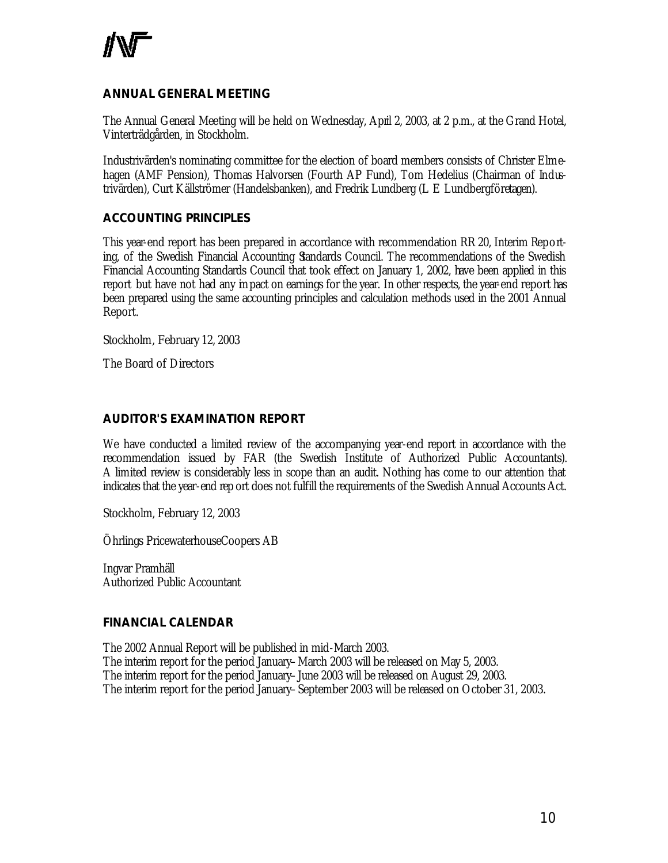

#### **ANNUAL GENERAL MEETING**

The Annual General Meeting will be held on Wednesday, April 2, 2003, at 2 p.m., at the Grand Hotel, Vinterträdgården, in Stockholm.

Industrivärden's nominating committee for the election of board members consists of Christer Elmehagen (AMF Pension), Thomas Halvorsen (Fourth AP Fund), Tom Hedelius (Chairman of Industrivärden), Curt Källströmer (Handelsbanken), and Fredrik Lundberg (L E Lundbergföretagen).

#### **ACCOUNTING PRINCIPLES**

This year-end report has been prepared in accordance with recommendation RR 20, Interim Reporting, of the Swedish Financial Accounting Standards Council. The recommendations of the Swedish Financial Accounting Standards Council that took effect on January 1, 2002, have been applied in this report but have not had any impact on earnings for the year. In other respects, the year-end report has been prepared using the same accounting principles and calculation methods used in the 2001 Annual Report.

Stockholm, February 12, 2003

The Board of Directors

#### **AUDITOR'S EXAMINATION REPORT**

We have conducted a limited review of the accompanying year-end report in accordance with the recommendation issued by FAR (the Swedish Institute of Authorized Public Accountants). A limited review is considerably less in scope than an audit. Nothing has come to our attention that indicates that the year-end rep ort does not fulfill the requirements of the Swedish Annual Accounts Act.

Stockholm, February 12, 2003

Öhrlings PricewaterhouseCoopers AB

Ingvar Pramhäll Authorized Public Accountant

#### **FINANCIAL CALENDAR**

The 2002 Annual Report will be published in mid-March 2003. The interim report for the period January–March 2003 will be released on May 5, 2003. The interim report for the period January–June 2003 will be released on August 29, 2003. The interim report for the period January–September 2003 will be released on October 31, 2003.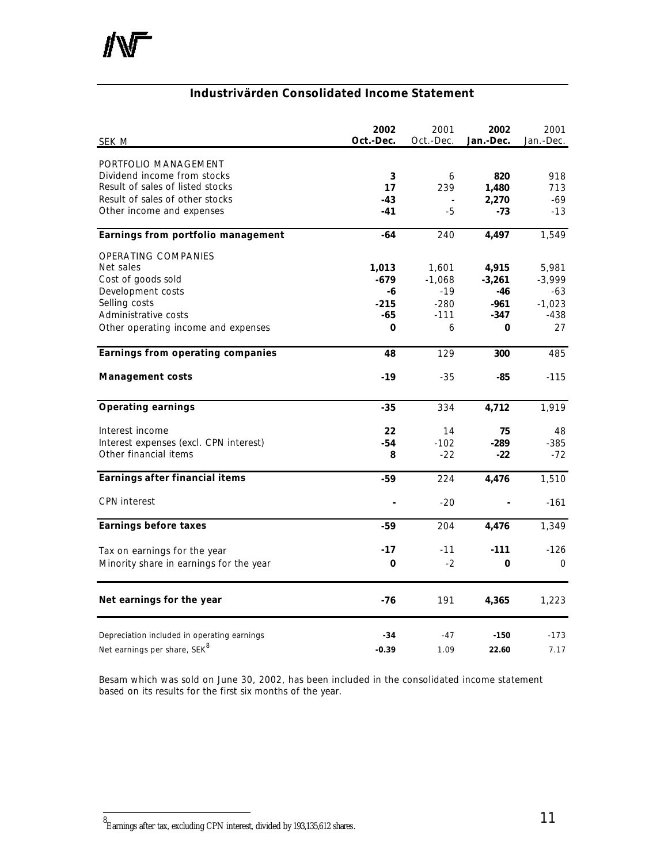

### **Industrivärden Consolidated Income Statement**

| SEK M                                       | 2002<br>Oct.-Dec. | 2001<br>Oct.-Dec. | 2002<br>Jan.-Dec. | 2001<br>Jan.-Dec. |
|---------------------------------------------|-------------------|-------------------|-------------------|-------------------|
| PORTFOLIO MANAGEMENT                        |                   |                   |                   |                   |
| Dividend income from stocks                 | 3                 | 6                 | 820               | 918               |
| Result of sales of listed stocks            | 17                | 239               | 1,480             | 713               |
| Result of sales of other stocks             | $-43$             |                   | 2,270             | -69               |
| Other income and expenses                   | $-41$             | -5                | -73               | $-13$             |
| Earnings from portfolio management          | $-64$             | 240               | 4,497             | 1,549             |
| <b>OPERATING COMPANIES</b>                  |                   |                   |                   |                   |
| Net sales                                   | 1,013             | 1,601             | 4,915             | 5,981             |
| Cost of goods sold                          | $-679$            | $-1,068$          | $-3,261$          | $-3,999$          |
| Development costs                           | -6                | $-19$             | $-46$             | -63               |
| Selling costs                               | $-215$            | $-280$            | $-961$            | $-1,023$          |
| Administrative costs                        | $-65$             | $-111$            | -347              | $-438$            |
| Other operating income and expenses         | 0                 | 6                 | 0                 | 27                |
| Earnings from operating companies           | 48                | 129               | 300               | 485               |
| <b>Management costs</b>                     | $-19$             | $-35$             | $-85$             | $-115$            |
| <b>Operating earnings</b>                   | $-35$             | 334               | 4,712             | 1,919             |
| Interest income                             | 22                | 14                | 75                | 48                |
| Interest expenses (excl. CPN interest)      | $-54$             | $-102$            | -289              | $-385$            |
| Other financial items                       | 8                 | $-22$             | $-22$             | $-72$             |
| Earnings after financial items              | -59               | 224               | 4,476             | 1,510             |
| <b>CPN</b> interest                         |                   | $-20$             |                   | $-161$            |
| <b>Earnings before taxes</b>                | -59               | 204               | 4,476             | 1,349             |
| Tax on earnings for the year                | $-17$             | $-11$             | $-111$            | $-126$            |
| Minority share in earnings for the year     | 0                 | $-2$              | 0                 | $\mathbf{0}$      |
| Net earnings for the year                   | $-76$             | 191               | 4,365             | 1,223             |
| Depreciation included in operating earnings | -34               | -47               | $-150$            | $-173$            |
| Net earnings per share, SEK <sup>8</sup>    | $-0.39$           | 1.09              | 22.60             | 7.17              |

*Besam which was sold on June 30, 2002, has been included in the consolidated income statement based on its results for the first six months of the year.*

 8 Earnings after tax, excluding CPN interest, divided by 193,135,612 shares.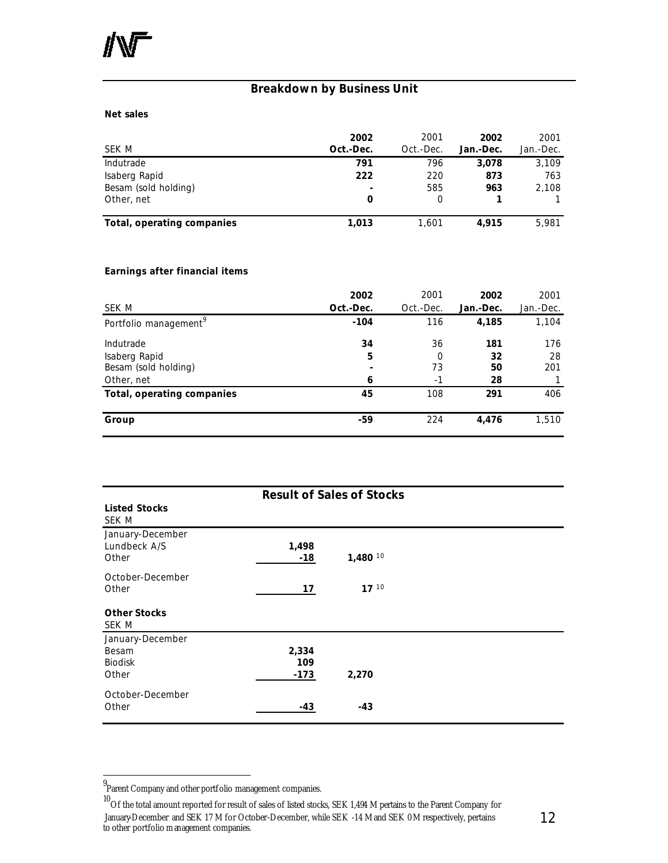#### **Breakdown by Business Unit**

#### **Net sales**

|                            | 2002                     | 2001      | 2002      | 2001      |
|----------------------------|--------------------------|-----------|-----------|-----------|
| SEK M                      | Oct.-Dec.                | Oct.-Dec. | Jan.-Dec. | Jan.-Dec. |
| Indutrade                  | 791                      | 796       | 3,078     | 3,109     |
| Isaberg Rapid              | 222                      | 220       | 873       | 763       |
| Besam (sold holding)       | $\overline{\phantom{0}}$ | 585       | 963       | 2,108     |
| Other, net                 |                          |           |           |           |
| Total, operating companies | 1.013                    | 1.601     | 4.915     | 5,981     |

#### **Earnings after financial items**

| SEK M                                                            | 2002<br>Oct.-Dec. | 2001<br>Oct.-Dec.     | 2002<br>Jan.-Dec.     | 2001<br>Jan.-Dec. |
|------------------------------------------------------------------|-------------------|-----------------------|-----------------------|-------------------|
| Portfolio management <sup>9</sup>                                | $-104$            | 116                   | 4,185                 | 1,104             |
| Indutrade<br>Isaberg Rapid<br>Besam (sold holding)<br>Other, net | 34<br>5<br>6      | 36<br>0<br>73<br>$-1$ | 181<br>32<br>50<br>28 | 176<br>28<br>201  |
| Total, operating companies                                       | 45                | 108                   | 291                   | 406               |
| Group                                                            | -59               | 224                   | 4,476                 | 1,510             |

| <b>Result of Sales of Stocks</b>                     |                        |                       |  |  |  |
|------------------------------------------------------|------------------------|-----------------------|--|--|--|
| <b>Listed Stocks</b><br>SEK M                        |                        |                       |  |  |  |
| January-December<br>Lundbeck A/S<br>Other            | 1,498<br>-18           | $1,480$ <sup>10</sup> |  |  |  |
| October-December<br>Other                            | 17                     | $17^{10}$             |  |  |  |
| <b>Other Stocks</b><br>SEK M                         |                        |                       |  |  |  |
| January-December<br>Besam<br><b>Biodisk</b><br>Other | 2,334<br>109<br>$-173$ | 2,270                 |  |  |  |
| October-December<br>Other                            | -43                    | $-43$                 |  |  |  |

l

<sup>9</sup> Parent Company and other portfolio management companies.

 $^{10}$ Of the total amount reported for result of sales of listed stocks, SEK 1,494 M pertains to the Parent Company for January-December and SEK 17 M for October-December, while SEK -14 M and SEK 0 M respectively, pertains to other portfolio management companies.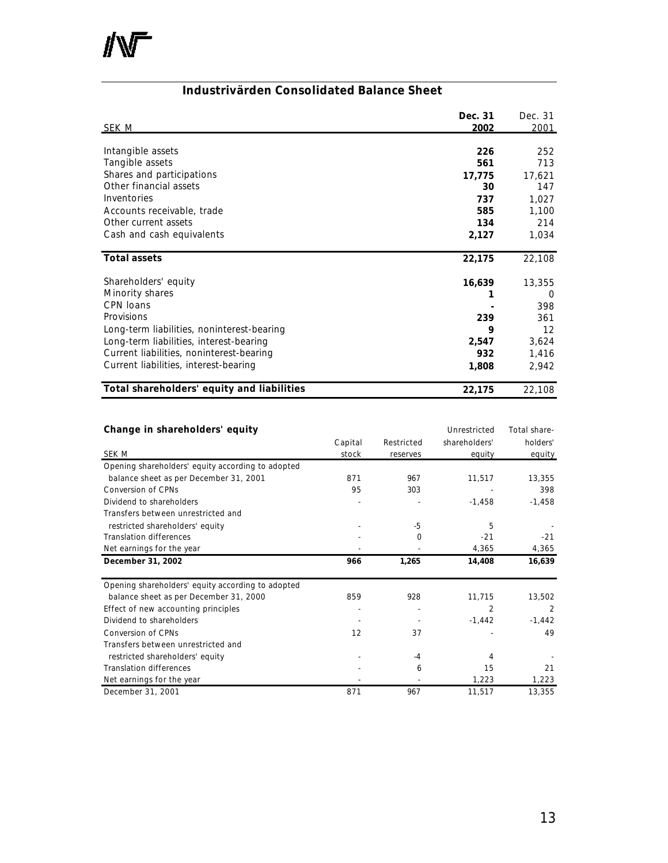

#### **Industrivärden Consolidated Balance Sheet**

|                                            | Dec. 31 | Dec. 31 |
|--------------------------------------------|---------|---------|
| <u>SEK M</u>                               | 2002    | 2001    |
|                                            |         |         |
| Intangible assets                          | 226     | 252     |
| Tangible assets                            | 561     | 713     |
| Shares and participations                  | 17,775  | 17,621  |
| Other financial assets                     | 30      | 147     |
| Inventories                                | 737     | 1,027   |
| Accounts receivable, trade                 | 585     | 1,100   |
| Other current assets                       | 134     | 214     |
| Cash and cash equivalents                  | 2,127   | 1,034   |
|                                            |         |         |
| <b>Total assets</b>                        | 22,175  | 22,108  |
| Shareholders' equity                       | 16,639  | 13,355  |
| Minority shares                            |         | 0       |
| CPN loans                                  |         | 398     |
| Provisions                                 | 239     | 361     |
| Long-term liabilities, noninterest-bearing | 9       | 12      |
| Long-term liabilities, interest-bearing    | 2,547   | 3,624   |
| Current liabilities, noninterest-bearing   | 932     | 1,416   |
| Current liabilities, interest-bearing      | 1,808   | 2,942   |
|                                            |         |         |
| Total shareholders' equity and liabilities | 22,175  | 22,108  |

#### Change in shareholders' equity **Change in shareholders' equity Universe Equipment** Unrestricted Total share-

|                                                   | Capital | Restricted | shareholders' | holders'       |
|---------------------------------------------------|---------|------------|---------------|----------------|
| SEK M                                             | stock   | reserves   | equity        | equity         |
| Opening shareholders' equity according to adopted |         |            |               |                |
| balance sheet as per December 31, 2001            | 871     | 967        | 11,517        | 13,355         |
| Conversion of CPNs                                | 95      | 303        |               | 398            |
| Dividend to shareholders                          |         |            | $-1,458$      | $-1,458$       |
| Transfers between unrestricted and                |         |            |               |                |
| restricted shareholders' equity                   |         | -5         | 5             |                |
| <b>Translation differences</b>                    |         | 0          | $-21$         | $-21$          |
| Net earnings for the year                         |         |            | 4,365         | 4,365          |
| December 31, 2002                                 | 966     | 1,265      | 14,408        | 16,639         |
|                                                   |         |            |               |                |
| Opening shareholders' equity according to adopted |         |            |               |                |
| balance sheet as per December 31, 2000            | 859     | 928        | 11,715        | 13,502         |
| Effect of new accounting principles               |         |            | 2             | $\overline{2}$ |
| Dividend to shareholders                          |         |            | $-1,442$      | $-1,442$       |
| <b>Conversion of CPNs</b>                         | 12      | 37         |               | 49             |
| Transfers between unrestricted and                |         |            |               |                |
| restricted shareholders' equity                   |         | -4         | 4             |                |
| <b>Translation differences</b>                    |         | 6          | 15            | 21             |
| Net earnings for the year                         |         |            | 1,223         | 1,223          |
| December 31, 2001                                 | 871     | 967        | 11,517        | 13,355         |